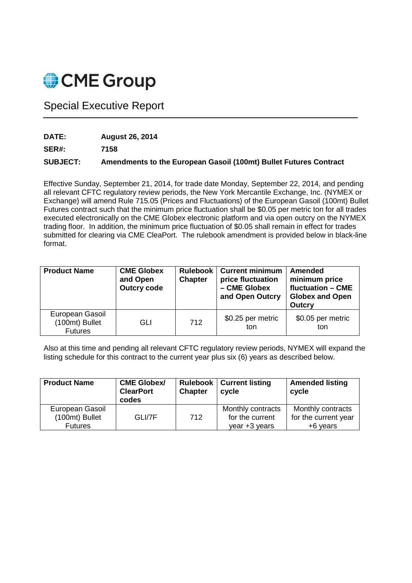

## Special Executive Report

**DATE: August 26, 2014** 

**SER#: 7158** 

## **SUBJECT: Amendments to the European Gasoil (100mt) Bullet Futures Contract**

Effective Sunday, September 21, 2014, for trade date Monday, September 22, 2014, and pending all relevant CFTC regulatory review periods, the New York Mercantile Exchange, Inc. (NYMEX or Exchange) will amend Rule 715.05 (Prices and Fluctuations) of the European Gasoil (100mt) Bullet Futures contract such that the minimum price fluctuation shall be \$0.05 per metric ton for all trades executed electronically on the CME Globex electronic platform and via open outcry on the NYMEX trading floor. In addition, the minimum price fluctuation of \$0.05 shall remain in effect for trades submitted for clearing via CME CleaPort. The rulebook amendment is provided below in black-line format.

| <b>Product Name</b>                                 | <b>CME Globex</b><br>and Open<br><b>Outcry code</b> | <b>Rulebook</b><br><b>Chapter</b> | <b>Current minimum</b><br>price fluctuation<br>- CME Globex<br>and Open Outcry | Amended<br>minimum price<br>fluctuation - CME<br><b>Globex and Open</b><br>Outcry |
|-----------------------------------------------------|-----------------------------------------------------|-----------------------------------|--------------------------------------------------------------------------------|-----------------------------------------------------------------------------------|
| European Gasoil<br>(100mt) Bullet<br><b>Futures</b> | GLI                                                 | 712                               | \$0.25 per metric<br>ton                                                       | \$0.05 per metric<br>ton                                                          |

Also at this time and pending all relevant CFTC regulatory review periods, NYMEX will expand the listing schedule for this contract to the current year plus six (6) years as described below.

| <b>Product Name</b>                                 | <b>CME Globex/</b><br><b>ClearPort</b><br>codes | <b>Chapter</b> | Rulebook   Current listing<br>cycle                   | <b>Amended listing</b><br>cycle                       |
|-----------------------------------------------------|-------------------------------------------------|----------------|-------------------------------------------------------|-------------------------------------------------------|
| European Gasoil<br>(100mt) Bullet<br><b>Futures</b> | GLI/7F                                          | 712            | Monthly contracts<br>for the current<br>year +3 years | Monthly contracts<br>for the current year<br>+6 years |